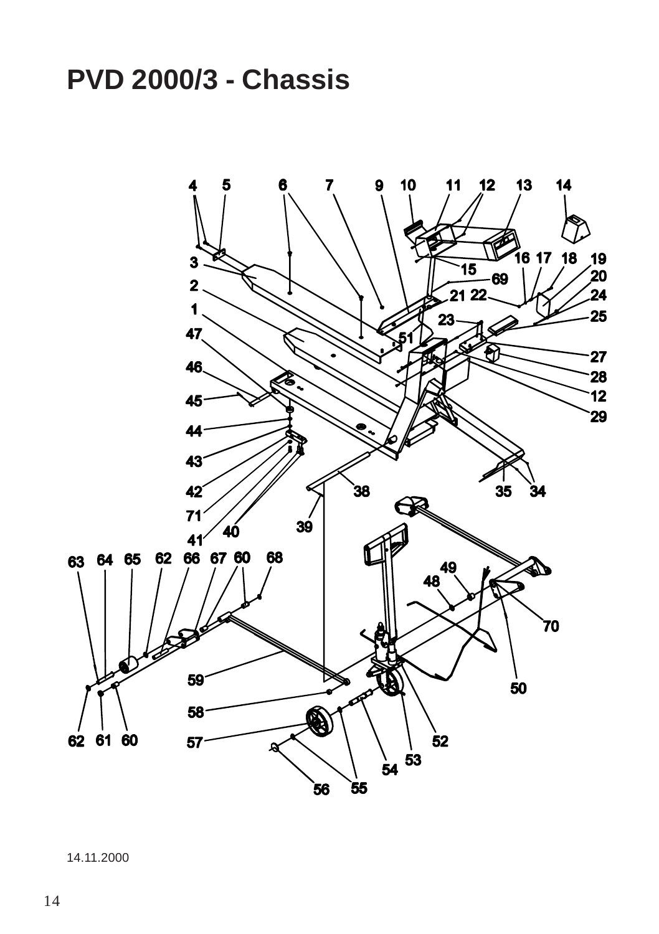# **PVD 2000/3 - Chassis**



14.11.2000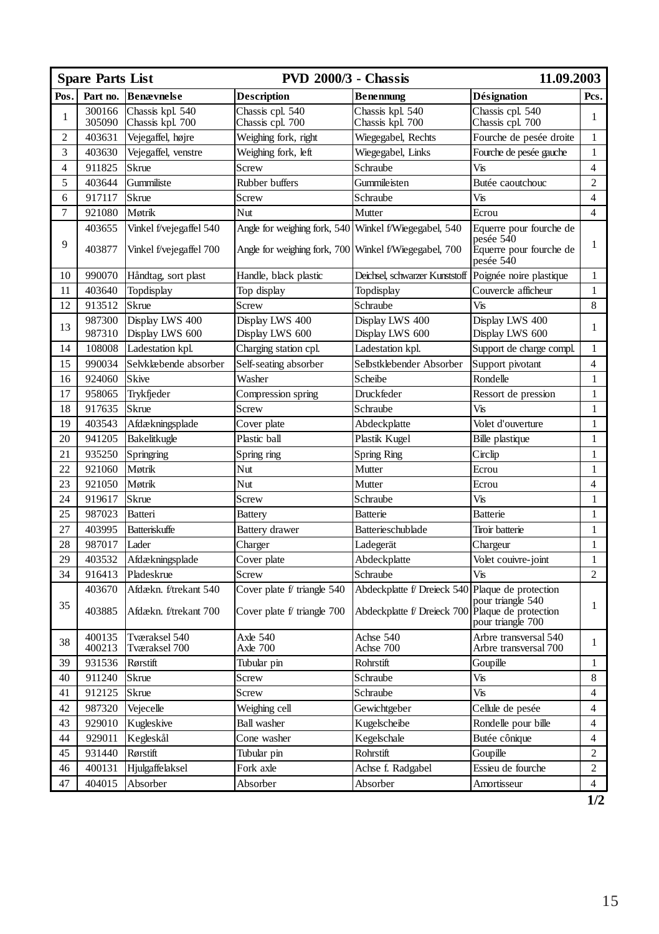| <b>Spare Parts List</b> |                  |                                                    | <b>PVD 2000/3 - Chassis</b>                                  |                                                            | 11.09.2003                                                                             |                         |
|-------------------------|------------------|----------------------------------------------------|--------------------------------------------------------------|------------------------------------------------------------|----------------------------------------------------------------------------------------|-------------------------|
| Pos.                    | Part no.         | Benævnelse                                         | <b>Description</b>                                           | <b>Benennung</b>                                           | <b>Désignation</b>                                                                     | Pcs.                    |
| 1                       | 300166<br>305090 | Chassis kpl. 540<br>Chassis kpl. 700               | Chassis cpl. 540<br>Chassis cpl. 700                         | Chassis kpl. 540<br>Chassis kpl. 700                       | Chassis cpl. 540<br>Chassis cpl. 700                                                   | 1                       |
| $\mathbf{2}$            | 403631           | Vejegaffel, højre                                  | Weighing fork, right                                         | Wiegegabel, Rechts                                         | Fourche de pesée droite                                                                | $\mathbf{1}$            |
| 3                       | 403630           | Vejegaffel, venstre                                | Weighing fork, left                                          | Wiegegabel, Links                                          | Fourche de pesée gauche                                                                | $\mathbf{1}$            |
| $\overline{\mathbf{4}}$ | 911825           | Skrue                                              | Screw                                                        | Schraube                                                   | Vis                                                                                    | $\overline{4}$          |
| 5                       | 403644           | Gummiliste                                         | Rubber buffers                                               | Gummileisten                                               | Butée caoutchouc                                                                       | $\overline{c}$          |
| 6                       | 917117           | Skrue                                              | Screw                                                        | Schraube                                                   | Vis                                                                                    | $\overline{4}$          |
| 7                       | 921080           | Møtrik                                             | Nut                                                          | Mutter                                                     | Ecrou                                                                                  | $\overline{4}$          |
| 9                       | 403655<br>403877 | Vinkel f/vejegaffel 540<br>Vinkel f/vejegaffel 700 | Angle for weighing fork, 540<br>Angle for weighing fork, 700 | Winkel f/Wiegegabel, 540<br>Winkel f/Wiegegabel, 700       | Equerre pour fourche de<br>pesée 540<br>Equerre pour fourche de<br>pesée 540           | 1                       |
| 10                      | 990070           | Håndtag, sort plast                                | Handle, black plastic                                        | Deichsel, schwarzer Kunststoff                             | Poignée noire plastique                                                                | $\mathbf{1}$            |
| 11                      | 403640           | Topdisplay                                         | Top display                                                  | Topdisplay                                                 | Couvercle afficheur                                                                    | 1                       |
| 12                      | 913512           | <b>Skrue</b>                                       | Screw                                                        | Schraube                                                   | Vis                                                                                    | 8                       |
| 13                      | 987300<br>987310 | Display LWS 400<br>Display LWS 600                 | Display LWS 400<br>Display LWS 600                           | Display LWS 400<br>Display LWS 600                         | Display LWS 400<br>Display LWS 600                                                     | 1                       |
| 14                      | 108008           | Ladestation kpl.                                   | Charging station cpl.                                        | Ladestation kpl.                                           | Support de charge compl.                                                               | $\mathbf{1}$            |
| 15                      | 990034           | Selvklæbende absorber                              | Self-seating absorber                                        | Selbstklebender Absorber                                   | Support pivotant                                                                       | $\overline{4}$          |
| 16                      | 924060           | <b>Skive</b>                                       | Washer                                                       | Scheibe                                                    | Rondelle                                                                               | $\mathbf{1}$            |
| 17                      | 958065           | Trykfjeder                                         | Compression spring                                           | Druckfeder                                                 | Ressort de pression                                                                    | 1                       |
| 18                      | 917635           | <b>Skrue</b>                                       | Screw                                                        | Schraube                                                   | Vis                                                                                    | 1                       |
| 19                      | 403543           | Afdækningsplade                                    | Cover plate                                                  | Abdeckplatte                                               | Volet d'ouverture                                                                      | $\mathbf{1}$            |
| 20                      | 941205           | Bakelitkugle                                       | Plastic ball                                                 | Plastik Kugel                                              | <b>Bille</b> plastique                                                                 | $\mathbf{1}$            |
| 21                      | 935250           | Springring                                         | Spring ring                                                  | <b>Spring Ring</b>                                         | Circlip                                                                                | $\mathbf{1}$            |
| 22                      | 921060           | Møtrik                                             | Nut                                                          | Mutter                                                     | Ecrou                                                                                  | $\mathbf{1}$            |
| 23                      | 921050           | Møtrik                                             | Nut                                                          | Mutter                                                     | Ecrou                                                                                  | $\overline{4}$          |
| 24                      | 919617           | <b>Skrue</b>                                       | Screw                                                        | Schraube                                                   | Vis                                                                                    | $\mathbf{1}$            |
| 25                      | 987023           | Batteri                                            | <b>Battery</b>                                               | <b>Batterie</b>                                            | Batterie                                                                               | $\mathbf{1}$            |
| 27                      | 403995           | <b>Batteriskuffe</b>                               | <b>Battery</b> drawer                                        | Batterieschublade                                          | Tiroir batterie                                                                        | $\mathbf{1}$            |
| 28                      | 987017           | Lader                                              | Charger                                                      | Ladegerät                                                  | Chargeur                                                                               | 1                       |
| 29                      | 403532           | Afdækningsplade                                    | Cover plate                                                  | Abdeckplatte                                               | Volet couivre-joint                                                                    | $\mathbf{1}$            |
| 34                      | 916413           | Pladeskrue                                         | Screw                                                        | Schraube                                                   | Vis                                                                                    | $\overline{c}$          |
| 35                      | 403670<br>403885 | Afdækn. f/trekant 540<br>Afdækn. f/trekant 700     | Cover plate f/ triangle 540<br>Cover plate f/ triangle 700   | Abdeckplatte f/ Dreieck 540<br>Abdeckplatte f/ Dreieck 700 | Plaque de protection<br>pour triangle 540<br>Plaque de protection<br>pour triangle 700 | 1                       |
| 38                      | 400135<br>400213 | Tværaksel 540<br>Tværaksel 700                     | Axle 540<br>Axle 700                                         | Achse 540<br>Achse 700                                     | Arbre transversal 540<br>Arbre transversal 700                                         | 1                       |
| 39                      | 931536           | Rørstift                                           | Tubular pin                                                  | Rohrstift                                                  | Goupille                                                                               | 1                       |
| 40                      | 911240           | <b>Skrue</b>                                       | Screw                                                        | Schraube                                                   | Vis                                                                                    | 8                       |
| 41                      | 912125           | <b>Skrue</b>                                       | Screw                                                        | Schraube                                                   | Vis                                                                                    | $\overline{4}$          |
| 42                      | 987320           | Vejecelle                                          | Weighing cell                                                | Gewichtgeber                                               | Cellule de pesée                                                                       | $\overline{4}$          |
| 43                      | 929010           | Kugleskive                                         | <b>Ball</b> washer                                           | Kugelscheibe                                               | Rondelle pour bille                                                                    | $\overline{\mathbf{4}}$ |
| 44                      | 929011           | Kegleskål                                          | Cone washer                                                  | Kegelschale                                                | Butée cônique                                                                          | $\overline{4}$          |
| 45                      | 931440           | Rørstift                                           | Tubular pin                                                  | Rohrstift                                                  | Goupille                                                                               | $\overline{c}$          |
| 46                      | 400131           | Hjulgaffelaksel                                    | Fork axle                                                    | Achse f. Radgabel                                          | Essieu de fourche                                                                      | $\overline{c}$          |
| 47                      | 404015           | Absorber                                           | Absorber                                                     | Absorber                                                   | Amortisseur                                                                            | $\overline{4}$          |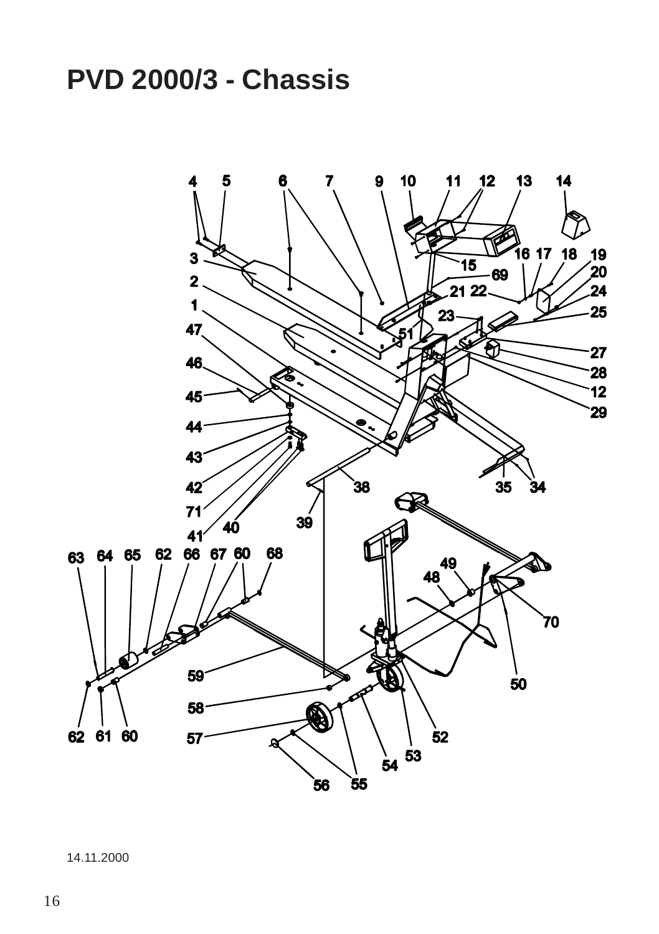# **PVD 2000/3 - Chassis**



14.11.2000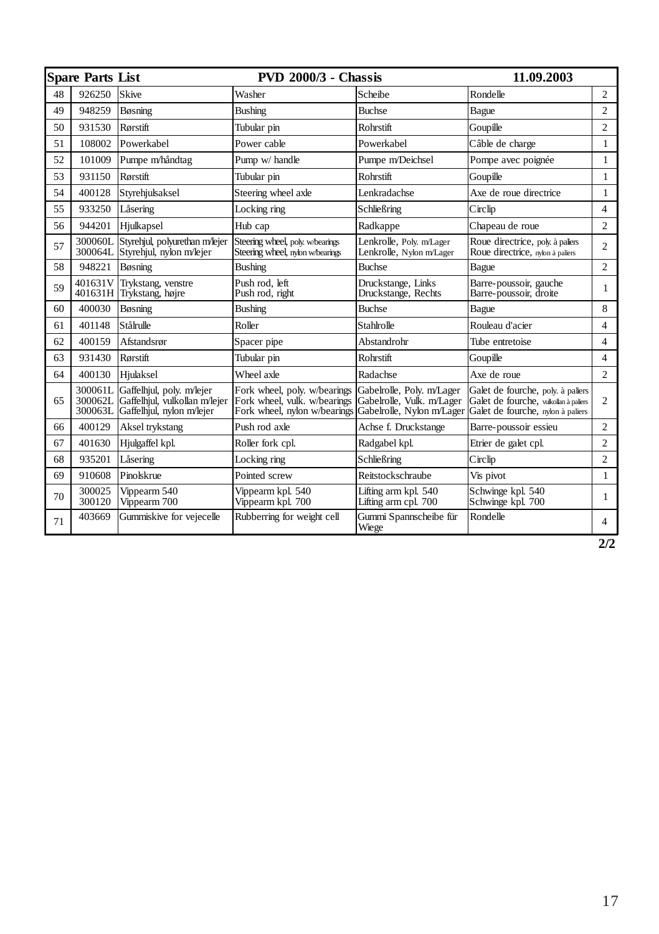|    | Spare Parts List   |                                                                                                 | <b>PVD 2000/3 - Chassis</b>                                                                  |                                                                                     | 11.09.2003                                                                                                      |                |
|----|--------------------|-------------------------------------------------------------------------------------------------|----------------------------------------------------------------------------------------------|-------------------------------------------------------------------------------------|-----------------------------------------------------------------------------------------------------------------|----------------|
| 48 | 926250             | Skive                                                                                           | Washer                                                                                       | Scheibe                                                                             | Rondelle                                                                                                        | $\overline{c}$ |
| 49 | 948259             | Bøsning                                                                                         | <b>Bushing</b>                                                                               | <b>Buchse</b>                                                                       | Bague                                                                                                           | $\overline{c}$ |
| 50 | 931530             | Rørstift                                                                                        | Tubular pin                                                                                  | <b>Rohrstift</b>                                                                    | Goupille                                                                                                        | $\overline{c}$ |
| 51 | 108002             | Powerkabel                                                                                      | Power cable                                                                                  | Powerkabel                                                                          | Câble de charge                                                                                                 | $\mathbf{1}$   |
| 52 | 101009             | Pumpe m/håndtag                                                                                 | Pump w/ handle                                                                               | Pumpe m/Deichsel                                                                    | Pompe avec poignée                                                                                              | $\mathbf{1}$   |
| 53 | 931150             | Rørstift                                                                                        | Tubular pin                                                                                  | <b>Rohrstift</b>                                                                    | Goupille                                                                                                        | $\mathbf{1}$   |
| 54 | 400128             | Styrehjulsaksel                                                                                 | Steering wheel axle                                                                          | <b>Lenkradachse</b>                                                                 | Axe de roue directrice                                                                                          | 1              |
| 55 | 933250             | Låsering                                                                                        | Locking ring                                                                                 | Schließring                                                                         | Circlip                                                                                                         | 4              |
| 56 | 944201             | Hjulkapsel                                                                                      | Hub cap                                                                                      | Radkappe                                                                            | Chapeau de roue                                                                                                 | $\overline{c}$ |
| 57 | 300060L            | Styrehjul, polyurethan m/lejer<br>300064L Styrehiul, nylon m/lejer                              | Steering wheel, poly. w/bearings<br>Steering wheel, nylon w/bearings                         | Lenkrolle, Poly. m/Lager<br>Lenkrolle, Nylon m/Lager                                | Roue directrice, poly à paliers<br>Roue directrice, nylon à paliers                                             | 2              |
| 58 | 948221             | Bøsning                                                                                         | <b>Bushing</b>                                                                               | <b>Buchse</b>                                                                       | Bague                                                                                                           | $\overline{2}$ |
| 59 | 401631V            | Trykstang, venstre<br>401631H Trykstang, højre                                                  | Push rod. left<br>Push rod, right                                                            | Druckstange, Links<br>Druckstange, Rechts                                           | Barre-poussoir, gauche<br>Barre-poussoir, droite                                                                | 1              |
| 60 | 400030             | Bøsning                                                                                         | <b>Bushing</b>                                                                               | <b>Buchse</b>                                                                       | Bague                                                                                                           | 8              |
| 61 | 401148             | Stålrulle                                                                                       | Roller                                                                                       | Stahlrolle                                                                          | Rouleau d'acier                                                                                                 | 4              |
| 62 | 400159             | Afstandsrør                                                                                     | Spacer pipe                                                                                  | Abstandrohr                                                                         | Tube entretoise                                                                                                 | $\overline{4}$ |
| 63 | 931430             | Rørstift                                                                                        | Tubular pin                                                                                  | <b>Rohrstift</b>                                                                    | Goupille                                                                                                        | 4              |
| 64 | 400130             | Hiulaksel                                                                                       | Wheel axle                                                                                   | Radachse                                                                            | Axe de roue                                                                                                     | $\overline{2}$ |
| 65 | 300061L<br>300063L | Gaffelhjul, poly. m/lejer<br>300062L Gaffelhjul, vulkollan m/lejer<br>Gaffelhjul, nylon m/lejer | Fork wheel, poly. w/bearings<br>Fork wheel, vulk. w/bearings<br>Fork wheel, nylon w/bearings | Gabelrolle, Poly. m/Lager<br>Gabelrolle, Vulk. m/Lager<br>Gabelrolle, Nylon m/Lager | Galet de fourche, poly. à paliers<br>Galet de fourche, vulkollan à paliers<br>Galet de fourche, nylon à paliers | 2              |
| 66 | 400129             | Aksel trykstang                                                                                 | Push rod axle                                                                                | Achse f. Druckstange                                                                | Barre-poussoir essieu                                                                                           | $\overline{c}$ |
| 67 | 401630             | Hjulgaffel kpl.                                                                                 | Roller fork cpl.                                                                             | Radgabel kpl.                                                                       | Etrier de galet cpl.                                                                                            | $\overline{c}$ |
| 68 | 935201             | Låsering                                                                                        | Locking ring                                                                                 | Schließring                                                                         | Circlip                                                                                                         | $\overline{c}$ |
| 69 | 910608             | Pinolskrue                                                                                      | Pointed screw                                                                                | Reitstockschraube                                                                   | Vis pivot                                                                                                       | $\mathbf{1}$   |
| 70 | 300025<br>300120   | Vippearm 540<br>Vippearm 700                                                                    | Vippearm kpl. 540<br>Vippearm kpl. 700                                                       | Lifting arm kpl. 540<br>Lifting arm cpl. 700                                        | Schwinge kpl. 540<br>Schwinge kpl. 700                                                                          | 1              |
| 71 | 403669             | Gummiskive for vejecelle                                                                        | Rubberring for weight cell                                                                   | Gummi Spannscheibe für<br>Wiege                                                     | Rondelle                                                                                                        | $\overline{4}$ |

**2/2**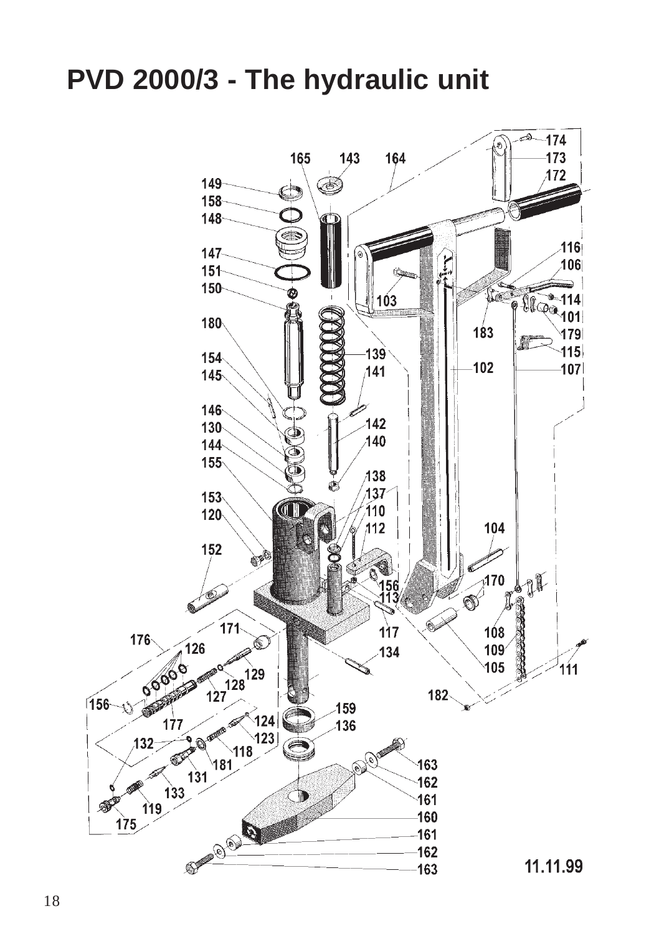## **PVD 2000/3 - The hydraulic unit**

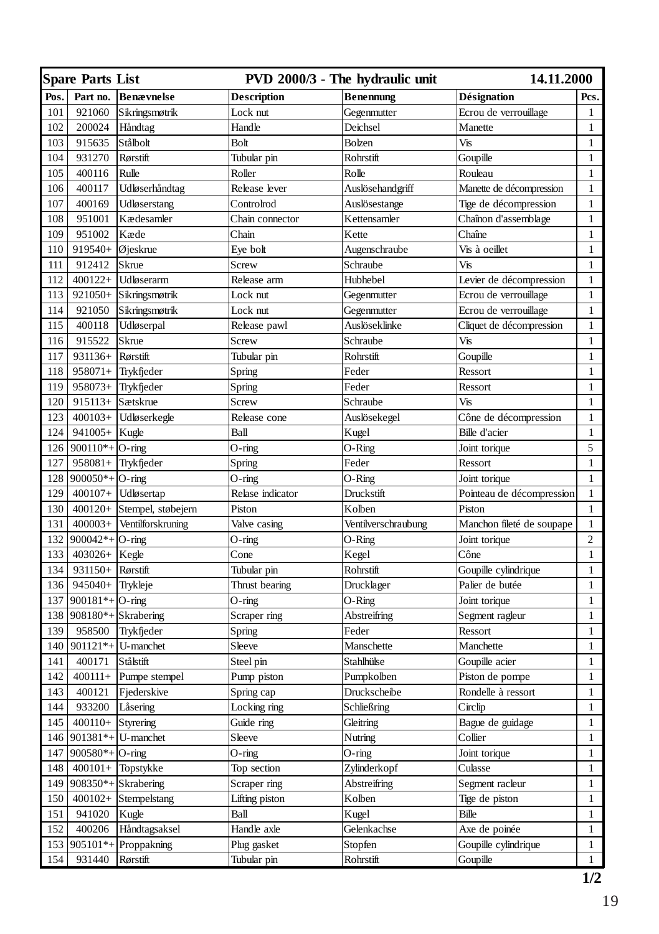| Part no.<br><b>Benævnelse</b><br><b>Benennung</b><br><b>Désignation</b><br>Pos.<br><b>Description</b><br>Pcs.<br>921060<br>101<br>Sikringsmøtrik<br>Lock nut<br>Gegenmutter<br>Ecrou de verrouillage<br>1<br>102<br>200024<br>Håndtag<br>Handle<br>Deichsel<br>Manette<br>$\mathbf{1}$<br>103<br>915635<br>Stålbolt<br>Bolzen<br>Vis<br>Bolt<br>$\mathbf{1}$<br>$\mathbf{1}$<br>104<br>931270<br>Rørstift<br>Tubular pin<br>Rohrstift<br>Goupille<br>105<br>Rolle<br>$\mathbf{1}$<br>400116<br>Rulle<br>Roller<br>Rouleau<br>400117<br>Udløserhåndtag<br>Manette de décompression<br>$\mathbf{1}$<br>106<br>Release lever<br>Auslösehandgriff<br>400169<br>$\,1$<br>107<br>Udløserstang<br>Controlrod<br>Auslösestange<br>Tige de décompression<br>951001<br>Kædesamler<br>Chaînon d'assemblage<br>108<br>Chain connector<br>Kettensamler<br>$\mathbf{1}$<br>$\mathbf{1}$<br>109<br>951002<br>Kæde<br>Chain<br>Chaîne<br>Kette<br>110<br>919540+<br>Øjeskrue<br>Eye bolt<br>Augenschraube<br>Vis à oeillet<br>$\mathbf{1}$<br>Vis<br>$\mathbf{1}$<br>111<br>912412<br>Skrue<br>Screw<br>Schraube<br>$\mathbf{1}$<br>112<br>$400122+$<br>Udløserarm<br>Release arm<br>Hubhebel<br>Levier de décompression<br>Ecrou de verrouillage<br>113<br>921050+<br>Sikringsmøtrik<br>Lock nut<br>$\mathbf{1}$<br>Gegenmutter<br>Ecrou de verrouillage<br>$\mathbf{1}$<br>114<br>921050<br>Sikringsmøtrik<br>Lock nut<br>Gegenmutter<br>115<br>400118<br>Udløserpal<br>Release pawl<br>Cliquet de décompression<br>$\mathbf{1}$<br>Auslöseklinke<br>116<br>915522<br>Skrue<br>Screw<br>Schraube<br>Vis<br>$\mathbf{1}$<br>$\mathbf{1}$<br>117<br>931136+<br>Rørstift<br>Tubular pin<br>Rohrstift<br>Goupille<br>Feder<br>$\mathbf{1}$<br>118<br>$958071+$<br>Trykfjeder<br>Ressort<br>Spring<br>$\mathbf{1}$<br>119<br>$958073+$ Trykfjeder<br>Feder<br>Ressort<br>Spring<br>$915113 +$ Sætskrue<br>Vis<br>$\mathbf{1}$<br>120<br>Screw<br>Schraube<br>123<br>400103+ Udløserkegle<br>Auslösekegel<br>Cône de décompression<br>$\mathbf{1}$<br>Release cone<br>124<br>$941005 +$ Kugle<br>Ball<br>Kugel<br>Bille d'acier<br>$\mathbf{1}$<br>126<br>$900110*$ + O-ring<br>$O-Ring$<br>5<br>$O$ -ring<br>Joint torique<br>$\mathbf{1}$<br>127<br>$958081 +$ Trykfjeder<br>Feder<br>Ressort<br>Spring<br>$\mathbf{1}$<br>$900050*$ + O-ring<br>128<br>$O$ -ring<br>$O-Ring$<br>Joint torique<br>Pointeau de décompression<br>$\mathbf{1}$<br>129<br>400107+ Udløsertap<br>Relase indicator<br>Druckstift<br>130<br>400120+ Stempel, støbejern<br>Piston<br>Kolben<br>Piston<br>$\mathbf{1}$<br>131<br>$400003+$ Ventilforskruning<br>Manchon fileté de soupape<br>$\mathbf{1}$<br>Valve casing<br>Ventilverschraubung<br>$\overline{c}$<br>132<br>$900042*+$ O-ring<br>$O$ -ring<br>$O-Ring$<br>Joint torique<br>133<br>$403026 +$ Kegle<br>Cone<br>Kegel<br>Cône<br>$\mathbf{1}$<br>$\mathbf{1}$<br>134<br>Goupille cylindrique<br>931150+<br>Rørstift<br>Tubular pin<br>Rohrstift<br>$\mathbf{1}$<br>136<br>945040+<br>Trykleje<br>Palier de butée<br>Thrust bearing<br>Drucklager<br>$\mathbf{1}$<br>137<br>900181*+ $ O$ -ring<br>$O-Ring$<br>Joint torique<br>$O$ -ring<br>Scraper ring<br>138<br>$908180*$ + Skrabering<br>Abstreifring<br>Segment ragleur<br>$\mathbf{1}$<br>139<br>958500<br>Feder<br>Ressort<br>$\mathbf{1}$<br>Trykfjeder<br>Spring<br>140<br>$901121*$ U-manchet<br>$\mathbf{1}$<br>Sleeve<br>Manschette<br>Manchette<br>$\mathbf{1}$<br>141<br>400171<br>Stålstift<br>Stahlhülse<br>Goupille acier<br>Steel pin<br>$\mathbf{1}$<br>142<br>Pumpe stempel<br>$400111+$<br>Pump piston<br>Pumpkolben<br>Piston de pompe<br>143<br>400121<br>$\mathbf{1}$<br>Fjederskive<br>Druckscheibe<br>Rondelle à ressort<br>Spring cap<br>144<br>933200<br>$\mathbf{1}$<br>Låsering<br>Locking ring<br>Schließring<br>Circlip<br>145<br>Bague de guidage<br>$400110+$<br>Styrering<br>Guide ring<br>Gleitring<br>$\mathbf{1}$<br>146<br>$901381*$ + U-manchet<br>Sleeve<br>Collier<br>$\mathbf{1}$<br>Nutring<br>147<br>$900580*+$ O-ring<br>$\mathbf{1}$<br>O-ring<br>O-ring<br>Joint torique<br>$\mathbf{1}$<br>148<br>$400101 +$ Topstykke<br>Top section<br>Zylinderkopf<br>Culasse<br>149<br>908350*+Skrabering<br>Scraper ring<br>$\mathbf{1}$<br>Abstreifring<br>Segment racleur<br>$\mathbf{1}$<br>150<br>$400102+$ Stempelstang<br>Lifting piston<br>Kolben<br>Tige de piston<br><b>Bille</b><br>$\mathbf{1}$<br>151<br>941020<br>Kugle<br>Ball<br>Kugel<br>152<br>400206<br>Håndtagsaksel<br>Handle axle<br>Gelenkachse<br>Axe de poinée<br>1<br>905101*+Proppakning<br>$\mathbf{1}$<br>153<br>Stopfen<br>Goupille cylindrique<br>Plug gasket<br>931440<br>$\mathbf{1}$<br>154<br>Rørstift<br>Tubular pin<br>Rohrstift<br>Goupille | <b>Spare Parts List</b> |  | PVD 2000/3 - The hydraulic unit | 14.11.2000 |  |
|--------------------------------------------------------------------------------------------------------------------------------------------------------------------------------------------------------------------------------------------------------------------------------------------------------------------------------------------------------------------------------------------------------------------------------------------------------------------------------------------------------------------------------------------------------------------------------------------------------------------------------------------------------------------------------------------------------------------------------------------------------------------------------------------------------------------------------------------------------------------------------------------------------------------------------------------------------------------------------------------------------------------------------------------------------------------------------------------------------------------------------------------------------------------------------------------------------------------------------------------------------------------------------------------------------------------------------------------------------------------------------------------------------------------------------------------------------------------------------------------------------------------------------------------------------------------------------------------------------------------------------------------------------------------------------------------------------------------------------------------------------------------------------------------------------------------------------------------------------------------------------------------------------------------------------------------------------------------------------------------------------------------------------------------------------------------------------------------------------------------------------------------------------------------------------------------------------------------------------------------------------------------------------------------------------------------------------------------------------------------------------------------------------------------------------------------------------------------------------------------------------------------------------------------------------------------------------------------------------------------------------------------------------------------------------------------------------------------------------------------------------------------------------------------------------------------------------------------------------------------------------------------------------------------------------------------------------------------------------------------------------------------------------------------------------------------------------------------------------------------------------------------------------------------------------------------------------------------------------------------------------------------------------------------------------------------------------------------------------------------------------------------------------------------------------------------------------------------------------------------------------------------------------------------------------------------------------------------------------------------------------------------------------------------------------------------------------------------------------------------------------------------------------------------------------------------------------------------------------------------------------------------------------------------------------------------------------------------------------------------------------------------------------------------------------------------------------------------------------------------------------------------------------------------------------------------------------------------------------------------------------------------------------------------------------------------------------------------------------------------------------------------------------------------------------------------------------------------------------------------------------------------------------------------------------------------------------------------------------------------------------------------------------------------------------------------------------------------------------------------|-------------------------|--|---------------------------------|------------|--|
|                                                                                                                                                                                                                                                                                                                                                                                                                                                                                                                                                                                                                                                                                                                                                                                                                                                                                                                                                                                                                                                                                                                                                                                                                                                                                                                                                                                                                                                                                                                                                                                                                                                                                                                                                                                                                                                                                                                                                                                                                                                                                                                                                                                                                                                                                                                                                                                                                                                                                                                                                                                                                                                                                                                                                                                                                                                                                                                                                                                                                                                                                                                                                                                                                                                                                                                                                                                                                                                                                                                                                                                                                                                                                                                                                                                                                                                                                                                                                                                                                                                                                                                                                                                                                                                                                                                                                                                                                                                                                                                                                                                                                                                                                                                                            |                         |  |                                 |            |  |
|                                                                                                                                                                                                                                                                                                                                                                                                                                                                                                                                                                                                                                                                                                                                                                                                                                                                                                                                                                                                                                                                                                                                                                                                                                                                                                                                                                                                                                                                                                                                                                                                                                                                                                                                                                                                                                                                                                                                                                                                                                                                                                                                                                                                                                                                                                                                                                                                                                                                                                                                                                                                                                                                                                                                                                                                                                                                                                                                                                                                                                                                                                                                                                                                                                                                                                                                                                                                                                                                                                                                                                                                                                                                                                                                                                                                                                                                                                                                                                                                                                                                                                                                                                                                                                                                                                                                                                                                                                                                                                                                                                                                                                                                                                                                            |                         |  |                                 |            |  |
|                                                                                                                                                                                                                                                                                                                                                                                                                                                                                                                                                                                                                                                                                                                                                                                                                                                                                                                                                                                                                                                                                                                                                                                                                                                                                                                                                                                                                                                                                                                                                                                                                                                                                                                                                                                                                                                                                                                                                                                                                                                                                                                                                                                                                                                                                                                                                                                                                                                                                                                                                                                                                                                                                                                                                                                                                                                                                                                                                                                                                                                                                                                                                                                                                                                                                                                                                                                                                                                                                                                                                                                                                                                                                                                                                                                                                                                                                                                                                                                                                                                                                                                                                                                                                                                                                                                                                                                                                                                                                                                                                                                                                                                                                                                                            |                         |  |                                 |            |  |
|                                                                                                                                                                                                                                                                                                                                                                                                                                                                                                                                                                                                                                                                                                                                                                                                                                                                                                                                                                                                                                                                                                                                                                                                                                                                                                                                                                                                                                                                                                                                                                                                                                                                                                                                                                                                                                                                                                                                                                                                                                                                                                                                                                                                                                                                                                                                                                                                                                                                                                                                                                                                                                                                                                                                                                                                                                                                                                                                                                                                                                                                                                                                                                                                                                                                                                                                                                                                                                                                                                                                                                                                                                                                                                                                                                                                                                                                                                                                                                                                                                                                                                                                                                                                                                                                                                                                                                                                                                                                                                                                                                                                                                                                                                                                            |                         |  |                                 |            |  |
|                                                                                                                                                                                                                                                                                                                                                                                                                                                                                                                                                                                                                                                                                                                                                                                                                                                                                                                                                                                                                                                                                                                                                                                                                                                                                                                                                                                                                                                                                                                                                                                                                                                                                                                                                                                                                                                                                                                                                                                                                                                                                                                                                                                                                                                                                                                                                                                                                                                                                                                                                                                                                                                                                                                                                                                                                                                                                                                                                                                                                                                                                                                                                                                                                                                                                                                                                                                                                                                                                                                                                                                                                                                                                                                                                                                                                                                                                                                                                                                                                                                                                                                                                                                                                                                                                                                                                                                                                                                                                                                                                                                                                                                                                                                                            |                         |  |                                 |            |  |
|                                                                                                                                                                                                                                                                                                                                                                                                                                                                                                                                                                                                                                                                                                                                                                                                                                                                                                                                                                                                                                                                                                                                                                                                                                                                                                                                                                                                                                                                                                                                                                                                                                                                                                                                                                                                                                                                                                                                                                                                                                                                                                                                                                                                                                                                                                                                                                                                                                                                                                                                                                                                                                                                                                                                                                                                                                                                                                                                                                                                                                                                                                                                                                                                                                                                                                                                                                                                                                                                                                                                                                                                                                                                                                                                                                                                                                                                                                                                                                                                                                                                                                                                                                                                                                                                                                                                                                                                                                                                                                                                                                                                                                                                                                                                            |                         |  |                                 |            |  |
|                                                                                                                                                                                                                                                                                                                                                                                                                                                                                                                                                                                                                                                                                                                                                                                                                                                                                                                                                                                                                                                                                                                                                                                                                                                                                                                                                                                                                                                                                                                                                                                                                                                                                                                                                                                                                                                                                                                                                                                                                                                                                                                                                                                                                                                                                                                                                                                                                                                                                                                                                                                                                                                                                                                                                                                                                                                                                                                                                                                                                                                                                                                                                                                                                                                                                                                                                                                                                                                                                                                                                                                                                                                                                                                                                                                                                                                                                                                                                                                                                                                                                                                                                                                                                                                                                                                                                                                                                                                                                                                                                                                                                                                                                                                                            |                         |  |                                 |            |  |
|                                                                                                                                                                                                                                                                                                                                                                                                                                                                                                                                                                                                                                                                                                                                                                                                                                                                                                                                                                                                                                                                                                                                                                                                                                                                                                                                                                                                                                                                                                                                                                                                                                                                                                                                                                                                                                                                                                                                                                                                                                                                                                                                                                                                                                                                                                                                                                                                                                                                                                                                                                                                                                                                                                                                                                                                                                                                                                                                                                                                                                                                                                                                                                                                                                                                                                                                                                                                                                                                                                                                                                                                                                                                                                                                                                                                                                                                                                                                                                                                                                                                                                                                                                                                                                                                                                                                                                                                                                                                                                                                                                                                                                                                                                                                            |                         |  |                                 |            |  |
|                                                                                                                                                                                                                                                                                                                                                                                                                                                                                                                                                                                                                                                                                                                                                                                                                                                                                                                                                                                                                                                                                                                                                                                                                                                                                                                                                                                                                                                                                                                                                                                                                                                                                                                                                                                                                                                                                                                                                                                                                                                                                                                                                                                                                                                                                                                                                                                                                                                                                                                                                                                                                                                                                                                                                                                                                                                                                                                                                                                                                                                                                                                                                                                                                                                                                                                                                                                                                                                                                                                                                                                                                                                                                                                                                                                                                                                                                                                                                                                                                                                                                                                                                                                                                                                                                                                                                                                                                                                                                                                                                                                                                                                                                                                                            |                         |  |                                 |            |  |
|                                                                                                                                                                                                                                                                                                                                                                                                                                                                                                                                                                                                                                                                                                                                                                                                                                                                                                                                                                                                                                                                                                                                                                                                                                                                                                                                                                                                                                                                                                                                                                                                                                                                                                                                                                                                                                                                                                                                                                                                                                                                                                                                                                                                                                                                                                                                                                                                                                                                                                                                                                                                                                                                                                                                                                                                                                                                                                                                                                                                                                                                                                                                                                                                                                                                                                                                                                                                                                                                                                                                                                                                                                                                                                                                                                                                                                                                                                                                                                                                                                                                                                                                                                                                                                                                                                                                                                                                                                                                                                                                                                                                                                                                                                                                            |                         |  |                                 |            |  |
|                                                                                                                                                                                                                                                                                                                                                                                                                                                                                                                                                                                                                                                                                                                                                                                                                                                                                                                                                                                                                                                                                                                                                                                                                                                                                                                                                                                                                                                                                                                                                                                                                                                                                                                                                                                                                                                                                                                                                                                                                                                                                                                                                                                                                                                                                                                                                                                                                                                                                                                                                                                                                                                                                                                                                                                                                                                                                                                                                                                                                                                                                                                                                                                                                                                                                                                                                                                                                                                                                                                                                                                                                                                                                                                                                                                                                                                                                                                                                                                                                                                                                                                                                                                                                                                                                                                                                                                                                                                                                                                                                                                                                                                                                                                                            |                         |  |                                 |            |  |
|                                                                                                                                                                                                                                                                                                                                                                                                                                                                                                                                                                                                                                                                                                                                                                                                                                                                                                                                                                                                                                                                                                                                                                                                                                                                                                                                                                                                                                                                                                                                                                                                                                                                                                                                                                                                                                                                                                                                                                                                                                                                                                                                                                                                                                                                                                                                                                                                                                                                                                                                                                                                                                                                                                                                                                                                                                                                                                                                                                                                                                                                                                                                                                                                                                                                                                                                                                                                                                                                                                                                                                                                                                                                                                                                                                                                                                                                                                                                                                                                                                                                                                                                                                                                                                                                                                                                                                                                                                                                                                                                                                                                                                                                                                                                            |                         |  |                                 |            |  |
|                                                                                                                                                                                                                                                                                                                                                                                                                                                                                                                                                                                                                                                                                                                                                                                                                                                                                                                                                                                                                                                                                                                                                                                                                                                                                                                                                                                                                                                                                                                                                                                                                                                                                                                                                                                                                                                                                                                                                                                                                                                                                                                                                                                                                                                                                                                                                                                                                                                                                                                                                                                                                                                                                                                                                                                                                                                                                                                                                                                                                                                                                                                                                                                                                                                                                                                                                                                                                                                                                                                                                                                                                                                                                                                                                                                                                                                                                                                                                                                                                                                                                                                                                                                                                                                                                                                                                                                                                                                                                                                                                                                                                                                                                                                                            |                         |  |                                 |            |  |
|                                                                                                                                                                                                                                                                                                                                                                                                                                                                                                                                                                                                                                                                                                                                                                                                                                                                                                                                                                                                                                                                                                                                                                                                                                                                                                                                                                                                                                                                                                                                                                                                                                                                                                                                                                                                                                                                                                                                                                                                                                                                                                                                                                                                                                                                                                                                                                                                                                                                                                                                                                                                                                                                                                                                                                                                                                                                                                                                                                                                                                                                                                                                                                                                                                                                                                                                                                                                                                                                                                                                                                                                                                                                                                                                                                                                                                                                                                                                                                                                                                                                                                                                                                                                                                                                                                                                                                                                                                                                                                                                                                                                                                                                                                                                            |                         |  |                                 |            |  |
|                                                                                                                                                                                                                                                                                                                                                                                                                                                                                                                                                                                                                                                                                                                                                                                                                                                                                                                                                                                                                                                                                                                                                                                                                                                                                                                                                                                                                                                                                                                                                                                                                                                                                                                                                                                                                                                                                                                                                                                                                                                                                                                                                                                                                                                                                                                                                                                                                                                                                                                                                                                                                                                                                                                                                                                                                                                                                                                                                                                                                                                                                                                                                                                                                                                                                                                                                                                                                                                                                                                                                                                                                                                                                                                                                                                                                                                                                                                                                                                                                                                                                                                                                                                                                                                                                                                                                                                                                                                                                                                                                                                                                                                                                                                                            |                         |  |                                 |            |  |
|                                                                                                                                                                                                                                                                                                                                                                                                                                                                                                                                                                                                                                                                                                                                                                                                                                                                                                                                                                                                                                                                                                                                                                                                                                                                                                                                                                                                                                                                                                                                                                                                                                                                                                                                                                                                                                                                                                                                                                                                                                                                                                                                                                                                                                                                                                                                                                                                                                                                                                                                                                                                                                                                                                                                                                                                                                                                                                                                                                                                                                                                                                                                                                                                                                                                                                                                                                                                                                                                                                                                                                                                                                                                                                                                                                                                                                                                                                                                                                                                                                                                                                                                                                                                                                                                                                                                                                                                                                                                                                                                                                                                                                                                                                                                            |                         |  |                                 |            |  |
|                                                                                                                                                                                                                                                                                                                                                                                                                                                                                                                                                                                                                                                                                                                                                                                                                                                                                                                                                                                                                                                                                                                                                                                                                                                                                                                                                                                                                                                                                                                                                                                                                                                                                                                                                                                                                                                                                                                                                                                                                                                                                                                                                                                                                                                                                                                                                                                                                                                                                                                                                                                                                                                                                                                                                                                                                                                                                                                                                                                                                                                                                                                                                                                                                                                                                                                                                                                                                                                                                                                                                                                                                                                                                                                                                                                                                                                                                                                                                                                                                                                                                                                                                                                                                                                                                                                                                                                                                                                                                                                                                                                                                                                                                                                                            |                         |  |                                 |            |  |
|                                                                                                                                                                                                                                                                                                                                                                                                                                                                                                                                                                                                                                                                                                                                                                                                                                                                                                                                                                                                                                                                                                                                                                                                                                                                                                                                                                                                                                                                                                                                                                                                                                                                                                                                                                                                                                                                                                                                                                                                                                                                                                                                                                                                                                                                                                                                                                                                                                                                                                                                                                                                                                                                                                                                                                                                                                                                                                                                                                                                                                                                                                                                                                                                                                                                                                                                                                                                                                                                                                                                                                                                                                                                                                                                                                                                                                                                                                                                                                                                                                                                                                                                                                                                                                                                                                                                                                                                                                                                                                                                                                                                                                                                                                                                            |                         |  |                                 |            |  |
|                                                                                                                                                                                                                                                                                                                                                                                                                                                                                                                                                                                                                                                                                                                                                                                                                                                                                                                                                                                                                                                                                                                                                                                                                                                                                                                                                                                                                                                                                                                                                                                                                                                                                                                                                                                                                                                                                                                                                                                                                                                                                                                                                                                                                                                                                                                                                                                                                                                                                                                                                                                                                                                                                                                                                                                                                                                                                                                                                                                                                                                                                                                                                                                                                                                                                                                                                                                                                                                                                                                                                                                                                                                                                                                                                                                                                                                                                                                                                                                                                                                                                                                                                                                                                                                                                                                                                                                                                                                                                                                                                                                                                                                                                                                                            |                         |  |                                 |            |  |
|                                                                                                                                                                                                                                                                                                                                                                                                                                                                                                                                                                                                                                                                                                                                                                                                                                                                                                                                                                                                                                                                                                                                                                                                                                                                                                                                                                                                                                                                                                                                                                                                                                                                                                                                                                                                                                                                                                                                                                                                                                                                                                                                                                                                                                                                                                                                                                                                                                                                                                                                                                                                                                                                                                                                                                                                                                                                                                                                                                                                                                                                                                                                                                                                                                                                                                                                                                                                                                                                                                                                                                                                                                                                                                                                                                                                                                                                                                                                                                                                                                                                                                                                                                                                                                                                                                                                                                                                                                                                                                                                                                                                                                                                                                                                            |                         |  |                                 |            |  |
|                                                                                                                                                                                                                                                                                                                                                                                                                                                                                                                                                                                                                                                                                                                                                                                                                                                                                                                                                                                                                                                                                                                                                                                                                                                                                                                                                                                                                                                                                                                                                                                                                                                                                                                                                                                                                                                                                                                                                                                                                                                                                                                                                                                                                                                                                                                                                                                                                                                                                                                                                                                                                                                                                                                                                                                                                                                                                                                                                                                                                                                                                                                                                                                                                                                                                                                                                                                                                                                                                                                                                                                                                                                                                                                                                                                                                                                                                                                                                                                                                                                                                                                                                                                                                                                                                                                                                                                                                                                                                                                                                                                                                                                                                                                                            |                         |  |                                 |            |  |
|                                                                                                                                                                                                                                                                                                                                                                                                                                                                                                                                                                                                                                                                                                                                                                                                                                                                                                                                                                                                                                                                                                                                                                                                                                                                                                                                                                                                                                                                                                                                                                                                                                                                                                                                                                                                                                                                                                                                                                                                                                                                                                                                                                                                                                                                                                                                                                                                                                                                                                                                                                                                                                                                                                                                                                                                                                                                                                                                                                                                                                                                                                                                                                                                                                                                                                                                                                                                                                                                                                                                                                                                                                                                                                                                                                                                                                                                                                                                                                                                                                                                                                                                                                                                                                                                                                                                                                                                                                                                                                                                                                                                                                                                                                                                            |                         |  |                                 |            |  |
|                                                                                                                                                                                                                                                                                                                                                                                                                                                                                                                                                                                                                                                                                                                                                                                                                                                                                                                                                                                                                                                                                                                                                                                                                                                                                                                                                                                                                                                                                                                                                                                                                                                                                                                                                                                                                                                                                                                                                                                                                                                                                                                                                                                                                                                                                                                                                                                                                                                                                                                                                                                                                                                                                                                                                                                                                                                                                                                                                                                                                                                                                                                                                                                                                                                                                                                                                                                                                                                                                                                                                                                                                                                                                                                                                                                                                                                                                                                                                                                                                                                                                                                                                                                                                                                                                                                                                                                                                                                                                                                                                                                                                                                                                                                                            |                         |  |                                 |            |  |
|                                                                                                                                                                                                                                                                                                                                                                                                                                                                                                                                                                                                                                                                                                                                                                                                                                                                                                                                                                                                                                                                                                                                                                                                                                                                                                                                                                                                                                                                                                                                                                                                                                                                                                                                                                                                                                                                                                                                                                                                                                                                                                                                                                                                                                                                                                                                                                                                                                                                                                                                                                                                                                                                                                                                                                                                                                                                                                                                                                                                                                                                                                                                                                                                                                                                                                                                                                                                                                                                                                                                                                                                                                                                                                                                                                                                                                                                                                                                                                                                                                                                                                                                                                                                                                                                                                                                                                                                                                                                                                                                                                                                                                                                                                                                            |                         |  |                                 |            |  |
|                                                                                                                                                                                                                                                                                                                                                                                                                                                                                                                                                                                                                                                                                                                                                                                                                                                                                                                                                                                                                                                                                                                                                                                                                                                                                                                                                                                                                                                                                                                                                                                                                                                                                                                                                                                                                                                                                                                                                                                                                                                                                                                                                                                                                                                                                                                                                                                                                                                                                                                                                                                                                                                                                                                                                                                                                                                                                                                                                                                                                                                                                                                                                                                                                                                                                                                                                                                                                                                                                                                                                                                                                                                                                                                                                                                                                                                                                                                                                                                                                                                                                                                                                                                                                                                                                                                                                                                                                                                                                                                                                                                                                                                                                                                                            |                         |  |                                 |            |  |
|                                                                                                                                                                                                                                                                                                                                                                                                                                                                                                                                                                                                                                                                                                                                                                                                                                                                                                                                                                                                                                                                                                                                                                                                                                                                                                                                                                                                                                                                                                                                                                                                                                                                                                                                                                                                                                                                                                                                                                                                                                                                                                                                                                                                                                                                                                                                                                                                                                                                                                                                                                                                                                                                                                                                                                                                                                                                                                                                                                                                                                                                                                                                                                                                                                                                                                                                                                                                                                                                                                                                                                                                                                                                                                                                                                                                                                                                                                                                                                                                                                                                                                                                                                                                                                                                                                                                                                                                                                                                                                                                                                                                                                                                                                                                            |                         |  |                                 |            |  |
|                                                                                                                                                                                                                                                                                                                                                                                                                                                                                                                                                                                                                                                                                                                                                                                                                                                                                                                                                                                                                                                                                                                                                                                                                                                                                                                                                                                                                                                                                                                                                                                                                                                                                                                                                                                                                                                                                                                                                                                                                                                                                                                                                                                                                                                                                                                                                                                                                                                                                                                                                                                                                                                                                                                                                                                                                                                                                                                                                                                                                                                                                                                                                                                                                                                                                                                                                                                                                                                                                                                                                                                                                                                                                                                                                                                                                                                                                                                                                                                                                                                                                                                                                                                                                                                                                                                                                                                                                                                                                                                                                                                                                                                                                                                                            |                         |  |                                 |            |  |
|                                                                                                                                                                                                                                                                                                                                                                                                                                                                                                                                                                                                                                                                                                                                                                                                                                                                                                                                                                                                                                                                                                                                                                                                                                                                                                                                                                                                                                                                                                                                                                                                                                                                                                                                                                                                                                                                                                                                                                                                                                                                                                                                                                                                                                                                                                                                                                                                                                                                                                                                                                                                                                                                                                                                                                                                                                                                                                                                                                                                                                                                                                                                                                                                                                                                                                                                                                                                                                                                                                                                                                                                                                                                                                                                                                                                                                                                                                                                                                                                                                                                                                                                                                                                                                                                                                                                                                                                                                                                                                                                                                                                                                                                                                                                            |                         |  |                                 |            |  |
|                                                                                                                                                                                                                                                                                                                                                                                                                                                                                                                                                                                                                                                                                                                                                                                                                                                                                                                                                                                                                                                                                                                                                                                                                                                                                                                                                                                                                                                                                                                                                                                                                                                                                                                                                                                                                                                                                                                                                                                                                                                                                                                                                                                                                                                                                                                                                                                                                                                                                                                                                                                                                                                                                                                                                                                                                                                                                                                                                                                                                                                                                                                                                                                                                                                                                                                                                                                                                                                                                                                                                                                                                                                                                                                                                                                                                                                                                                                                                                                                                                                                                                                                                                                                                                                                                                                                                                                                                                                                                                                                                                                                                                                                                                                                            |                         |  |                                 |            |  |
|                                                                                                                                                                                                                                                                                                                                                                                                                                                                                                                                                                                                                                                                                                                                                                                                                                                                                                                                                                                                                                                                                                                                                                                                                                                                                                                                                                                                                                                                                                                                                                                                                                                                                                                                                                                                                                                                                                                                                                                                                                                                                                                                                                                                                                                                                                                                                                                                                                                                                                                                                                                                                                                                                                                                                                                                                                                                                                                                                                                                                                                                                                                                                                                                                                                                                                                                                                                                                                                                                                                                                                                                                                                                                                                                                                                                                                                                                                                                                                                                                                                                                                                                                                                                                                                                                                                                                                                                                                                                                                                                                                                                                                                                                                                                            |                         |  |                                 |            |  |
|                                                                                                                                                                                                                                                                                                                                                                                                                                                                                                                                                                                                                                                                                                                                                                                                                                                                                                                                                                                                                                                                                                                                                                                                                                                                                                                                                                                                                                                                                                                                                                                                                                                                                                                                                                                                                                                                                                                                                                                                                                                                                                                                                                                                                                                                                                                                                                                                                                                                                                                                                                                                                                                                                                                                                                                                                                                                                                                                                                                                                                                                                                                                                                                                                                                                                                                                                                                                                                                                                                                                                                                                                                                                                                                                                                                                                                                                                                                                                                                                                                                                                                                                                                                                                                                                                                                                                                                                                                                                                                                                                                                                                                                                                                                                            |                         |  |                                 |            |  |
|                                                                                                                                                                                                                                                                                                                                                                                                                                                                                                                                                                                                                                                                                                                                                                                                                                                                                                                                                                                                                                                                                                                                                                                                                                                                                                                                                                                                                                                                                                                                                                                                                                                                                                                                                                                                                                                                                                                                                                                                                                                                                                                                                                                                                                                                                                                                                                                                                                                                                                                                                                                                                                                                                                                                                                                                                                                                                                                                                                                                                                                                                                                                                                                                                                                                                                                                                                                                                                                                                                                                                                                                                                                                                                                                                                                                                                                                                                                                                                                                                                                                                                                                                                                                                                                                                                                                                                                                                                                                                                                                                                                                                                                                                                                                            |                         |  |                                 |            |  |
|                                                                                                                                                                                                                                                                                                                                                                                                                                                                                                                                                                                                                                                                                                                                                                                                                                                                                                                                                                                                                                                                                                                                                                                                                                                                                                                                                                                                                                                                                                                                                                                                                                                                                                                                                                                                                                                                                                                                                                                                                                                                                                                                                                                                                                                                                                                                                                                                                                                                                                                                                                                                                                                                                                                                                                                                                                                                                                                                                                                                                                                                                                                                                                                                                                                                                                                                                                                                                                                                                                                                                                                                                                                                                                                                                                                                                                                                                                                                                                                                                                                                                                                                                                                                                                                                                                                                                                                                                                                                                                                                                                                                                                                                                                                                            |                         |  |                                 |            |  |
|                                                                                                                                                                                                                                                                                                                                                                                                                                                                                                                                                                                                                                                                                                                                                                                                                                                                                                                                                                                                                                                                                                                                                                                                                                                                                                                                                                                                                                                                                                                                                                                                                                                                                                                                                                                                                                                                                                                                                                                                                                                                                                                                                                                                                                                                                                                                                                                                                                                                                                                                                                                                                                                                                                                                                                                                                                                                                                                                                                                                                                                                                                                                                                                                                                                                                                                                                                                                                                                                                                                                                                                                                                                                                                                                                                                                                                                                                                                                                                                                                                                                                                                                                                                                                                                                                                                                                                                                                                                                                                                                                                                                                                                                                                                                            |                         |  |                                 |            |  |
|                                                                                                                                                                                                                                                                                                                                                                                                                                                                                                                                                                                                                                                                                                                                                                                                                                                                                                                                                                                                                                                                                                                                                                                                                                                                                                                                                                                                                                                                                                                                                                                                                                                                                                                                                                                                                                                                                                                                                                                                                                                                                                                                                                                                                                                                                                                                                                                                                                                                                                                                                                                                                                                                                                                                                                                                                                                                                                                                                                                                                                                                                                                                                                                                                                                                                                                                                                                                                                                                                                                                                                                                                                                                                                                                                                                                                                                                                                                                                                                                                                                                                                                                                                                                                                                                                                                                                                                                                                                                                                                                                                                                                                                                                                                                            |                         |  |                                 |            |  |
|                                                                                                                                                                                                                                                                                                                                                                                                                                                                                                                                                                                                                                                                                                                                                                                                                                                                                                                                                                                                                                                                                                                                                                                                                                                                                                                                                                                                                                                                                                                                                                                                                                                                                                                                                                                                                                                                                                                                                                                                                                                                                                                                                                                                                                                                                                                                                                                                                                                                                                                                                                                                                                                                                                                                                                                                                                                                                                                                                                                                                                                                                                                                                                                                                                                                                                                                                                                                                                                                                                                                                                                                                                                                                                                                                                                                                                                                                                                                                                                                                                                                                                                                                                                                                                                                                                                                                                                                                                                                                                                                                                                                                                                                                                                                            |                         |  |                                 |            |  |
|                                                                                                                                                                                                                                                                                                                                                                                                                                                                                                                                                                                                                                                                                                                                                                                                                                                                                                                                                                                                                                                                                                                                                                                                                                                                                                                                                                                                                                                                                                                                                                                                                                                                                                                                                                                                                                                                                                                                                                                                                                                                                                                                                                                                                                                                                                                                                                                                                                                                                                                                                                                                                                                                                                                                                                                                                                                                                                                                                                                                                                                                                                                                                                                                                                                                                                                                                                                                                                                                                                                                                                                                                                                                                                                                                                                                                                                                                                                                                                                                                                                                                                                                                                                                                                                                                                                                                                                                                                                                                                                                                                                                                                                                                                                                            |                         |  |                                 |            |  |
|                                                                                                                                                                                                                                                                                                                                                                                                                                                                                                                                                                                                                                                                                                                                                                                                                                                                                                                                                                                                                                                                                                                                                                                                                                                                                                                                                                                                                                                                                                                                                                                                                                                                                                                                                                                                                                                                                                                                                                                                                                                                                                                                                                                                                                                                                                                                                                                                                                                                                                                                                                                                                                                                                                                                                                                                                                                                                                                                                                                                                                                                                                                                                                                                                                                                                                                                                                                                                                                                                                                                                                                                                                                                                                                                                                                                                                                                                                                                                                                                                                                                                                                                                                                                                                                                                                                                                                                                                                                                                                                                                                                                                                                                                                                                            |                         |  |                                 |            |  |
|                                                                                                                                                                                                                                                                                                                                                                                                                                                                                                                                                                                                                                                                                                                                                                                                                                                                                                                                                                                                                                                                                                                                                                                                                                                                                                                                                                                                                                                                                                                                                                                                                                                                                                                                                                                                                                                                                                                                                                                                                                                                                                                                                                                                                                                                                                                                                                                                                                                                                                                                                                                                                                                                                                                                                                                                                                                                                                                                                                                                                                                                                                                                                                                                                                                                                                                                                                                                                                                                                                                                                                                                                                                                                                                                                                                                                                                                                                                                                                                                                                                                                                                                                                                                                                                                                                                                                                                                                                                                                                                                                                                                                                                                                                                                            |                         |  |                                 |            |  |
|                                                                                                                                                                                                                                                                                                                                                                                                                                                                                                                                                                                                                                                                                                                                                                                                                                                                                                                                                                                                                                                                                                                                                                                                                                                                                                                                                                                                                                                                                                                                                                                                                                                                                                                                                                                                                                                                                                                                                                                                                                                                                                                                                                                                                                                                                                                                                                                                                                                                                                                                                                                                                                                                                                                                                                                                                                                                                                                                                                                                                                                                                                                                                                                                                                                                                                                                                                                                                                                                                                                                                                                                                                                                                                                                                                                                                                                                                                                                                                                                                                                                                                                                                                                                                                                                                                                                                                                                                                                                                                                                                                                                                                                                                                                                            |                         |  |                                 |            |  |
|                                                                                                                                                                                                                                                                                                                                                                                                                                                                                                                                                                                                                                                                                                                                                                                                                                                                                                                                                                                                                                                                                                                                                                                                                                                                                                                                                                                                                                                                                                                                                                                                                                                                                                                                                                                                                                                                                                                                                                                                                                                                                                                                                                                                                                                                                                                                                                                                                                                                                                                                                                                                                                                                                                                                                                                                                                                                                                                                                                                                                                                                                                                                                                                                                                                                                                                                                                                                                                                                                                                                                                                                                                                                                                                                                                                                                                                                                                                                                                                                                                                                                                                                                                                                                                                                                                                                                                                                                                                                                                                                                                                                                                                                                                                                            |                         |  |                                 |            |  |
|                                                                                                                                                                                                                                                                                                                                                                                                                                                                                                                                                                                                                                                                                                                                                                                                                                                                                                                                                                                                                                                                                                                                                                                                                                                                                                                                                                                                                                                                                                                                                                                                                                                                                                                                                                                                                                                                                                                                                                                                                                                                                                                                                                                                                                                                                                                                                                                                                                                                                                                                                                                                                                                                                                                                                                                                                                                                                                                                                                                                                                                                                                                                                                                                                                                                                                                                                                                                                                                                                                                                                                                                                                                                                                                                                                                                                                                                                                                                                                                                                                                                                                                                                                                                                                                                                                                                                                                                                                                                                                                                                                                                                                                                                                                                            |                         |  |                                 |            |  |
|                                                                                                                                                                                                                                                                                                                                                                                                                                                                                                                                                                                                                                                                                                                                                                                                                                                                                                                                                                                                                                                                                                                                                                                                                                                                                                                                                                                                                                                                                                                                                                                                                                                                                                                                                                                                                                                                                                                                                                                                                                                                                                                                                                                                                                                                                                                                                                                                                                                                                                                                                                                                                                                                                                                                                                                                                                                                                                                                                                                                                                                                                                                                                                                                                                                                                                                                                                                                                                                                                                                                                                                                                                                                                                                                                                                                                                                                                                                                                                                                                                                                                                                                                                                                                                                                                                                                                                                                                                                                                                                                                                                                                                                                                                                                            |                         |  |                                 |            |  |
|                                                                                                                                                                                                                                                                                                                                                                                                                                                                                                                                                                                                                                                                                                                                                                                                                                                                                                                                                                                                                                                                                                                                                                                                                                                                                                                                                                                                                                                                                                                                                                                                                                                                                                                                                                                                                                                                                                                                                                                                                                                                                                                                                                                                                                                                                                                                                                                                                                                                                                                                                                                                                                                                                                                                                                                                                                                                                                                                                                                                                                                                                                                                                                                                                                                                                                                                                                                                                                                                                                                                                                                                                                                                                                                                                                                                                                                                                                                                                                                                                                                                                                                                                                                                                                                                                                                                                                                                                                                                                                                                                                                                                                                                                                                                            |                         |  |                                 |            |  |
|                                                                                                                                                                                                                                                                                                                                                                                                                                                                                                                                                                                                                                                                                                                                                                                                                                                                                                                                                                                                                                                                                                                                                                                                                                                                                                                                                                                                                                                                                                                                                                                                                                                                                                                                                                                                                                                                                                                                                                                                                                                                                                                                                                                                                                                                                                                                                                                                                                                                                                                                                                                                                                                                                                                                                                                                                                                                                                                                                                                                                                                                                                                                                                                                                                                                                                                                                                                                                                                                                                                                                                                                                                                                                                                                                                                                                                                                                                                                                                                                                                                                                                                                                                                                                                                                                                                                                                                                                                                                                                                                                                                                                                                                                                                                            |                         |  |                                 |            |  |
|                                                                                                                                                                                                                                                                                                                                                                                                                                                                                                                                                                                                                                                                                                                                                                                                                                                                                                                                                                                                                                                                                                                                                                                                                                                                                                                                                                                                                                                                                                                                                                                                                                                                                                                                                                                                                                                                                                                                                                                                                                                                                                                                                                                                                                                                                                                                                                                                                                                                                                                                                                                                                                                                                                                                                                                                                                                                                                                                                                                                                                                                                                                                                                                                                                                                                                                                                                                                                                                                                                                                                                                                                                                                                                                                                                                                                                                                                                                                                                                                                                                                                                                                                                                                                                                                                                                                                                                                                                                                                                                                                                                                                                                                                                                                            |                         |  |                                 |            |  |
|                                                                                                                                                                                                                                                                                                                                                                                                                                                                                                                                                                                                                                                                                                                                                                                                                                                                                                                                                                                                                                                                                                                                                                                                                                                                                                                                                                                                                                                                                                                                                                                                                                                                                                                                                                                                                                                                                                                                                                                                                                                                                                                                                                                                                                                                                                                                                                                                                                                                                                                                                                                                                                                                                                                                                                                                                                                                                                                                                                                                                                                                                                                                                                                                                                                                                                                                                                                                                                                                                                                                                                                                                                                                                                                                                                                                                                                                                                                                                                                                                                                                                                                                                                                                                                                                                                                                                                                                                                                                                                                                                                                                                                                                                                                                            |                         |  |                                 |            |  |
|                                                                                                                                                                                                                                                                                                                                                                                                                                                                                                                                                                                                                                                                                                                                                                                                                                                                                                                                                                                                                                                                                                                                                                                                                                                                                                                                                                                                                                                                                                                                                                                                                                                                                                                                                                                                                                                                                                                                                                                                                                                                                                                                                                                                                                                                                                                                                                                                                                                                                                                                                                                                                                                                                                                                                                                                                                                                                                                                                                                                                                                                                                                                                                                                                                                                                                                                                                                                                                                                                                                                                                                                                                                                                                                                                                                                                                                                                                                                                                                                                                                                                                                                                                                                                                                                                                                                                                                                                                                                                                                                                                                                                                                                                                                                            |                         |  |                                 |            |  |
|                                                                                                                                                                                                                                                                                                                                                                                                                                                                                                                                                                                                                                                                                                                                                                                                                                                                                                                                                                                                                                                                                                                                                                                                                                                                                                                                                                                                                                                                                                                                                                                                                                                                                                                                                                                                                                                                                                                                                                                                                                                                                                                                                                                                                                                                                                                                                                                                                                                                                                                                                                                                                                                                                                                                                                                                                                                                                                                                                                                                                                                                                                                                                                                                                                                                                                                                                                                                                                                                                                                                                                                                                                                                                                                                                                                                                                                                                                                                                                                                                                                                                                                                                                                                                                                                                                                                                                                                                                                                                                                                                                                                                                                                                                                                            |                         |  |                                 |            |  |
|                                                                                                                                                                                                                                                                                                                                                                                                                                                                                                                                                                                                                                                                                                                                                                                                                                                                                                                                                                                                                                                                                                                                                                                                                                                                                                                                                                                                                                                                                                                                                                                                                                                                                                                                                                                                                                                                                                                                                                                                                                                                                                                                                                                                                                                                                                                                                                                                                                                                                                                                                                                                                                                                                                                                                                                                                                                                                                                                                                                                                                                                                                                                                                                                                                                                                                                                                                                                                                                                                                                                                                                                                                                                                                                                                                                                                                                                                                                                                                                                                                                                                                                                                                                                                                                                                                                                                                                                                                                                                                                                                                                                                                                                                                                                            |                         |  |                                 |            |  |
|                                                                                                                                                                                                                                                                                                                                                                                                                                                                                                                                                                                                                                                                                                                                                                                                                                                                                                                                                                                                                                                                                                                                                                                                                                                                                                                                                                                                                                                                                                                                                                                                                                                                                                                                                                                                                                                                                                                                                                                                                                                                                                                                                                                                                                                                                                                                                                                                                                                                                                                                                                                                                                                                                                                                                                                                                                                                                                                                                                                                                                                                                                                                                                                                                                                                                                                                                                                                                                                                                                                                                                                                                                                                                                                                                                                                                                                                                                                                                                                                                                                                                                                                                                                                                                                                                                                                                                                                                                                                                                                                                                                                                                                                                                                                            |                         |  |                                 |            |  |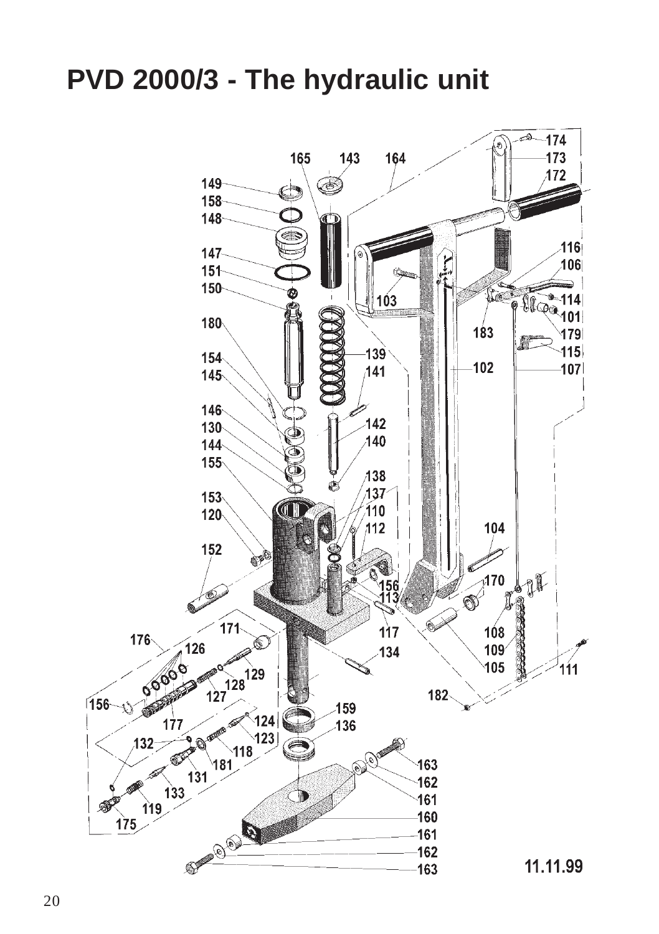## **PVD 2000/3 - The hydraulic unit**

![](_page_6_Figure_1.jpeg)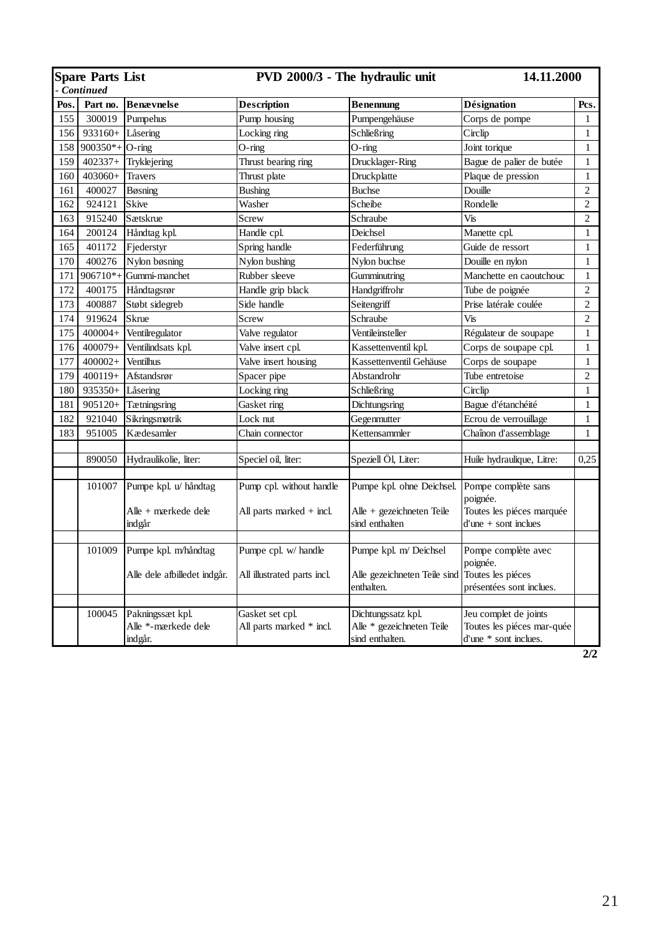| <b>Spare Parts List</b> |                    |                                                        | PVD 2000/3 - The hydraulic unit                      |                                                                          | 14.11.2000                                                                              |                |
|-------------------------|--------------------|--------------------------------------------------------|------------------------------------------------------|--------------------------------------------------------------------------|-----------------------------------------------------------------------------------------|----------------|
| Continued               |                    |                                                        |                                                      |                                                                          |                                                                                         |                |
| Pos.                    | Part no.           | Benævnelse                                             | <b>Description</b>                                   | Benennung                                                                | Désignation                                                                             | Pcs.           |
| 155                     |                    | 300019 Pumpehus                                        | Pump housing                                         | Pumpengehäuse                                                            | Corps de pompe                                                                          | 1              |
| 156                     | 933160+ Låsering   |                                                        | Locking ring                                         | Schließring                                                              | Circlip                                                                                 | $\mathbf{1}$   |
| 158                     | $900350*$ + O-ring |                                                        | O-ring                                               | $O$ -ring                                                                | Joint torique                                                                           | $\mathbf{1}$   |
| 159                     | $402337+$          | Tryklejering                                           | Thrust bearing ring                                  | Drucklager-Ring                                                          | Bague de palier de butée                                                                | 1              |
| 160                     | $403060+$          | <b>Travers</b>                                         | Thrust plate                                         | Druckplatte                                                              | Plaque de pression                                                                      | $\mathbf{1}$   |
| 161                     | 400027             | Bøsning                                                | <b>Bushing</b>                                       | <b>Buchse</b>                                                            | Douille                                                                                 | $\overline{c}$ |
| 162                     | 924121             | <b>Skive</b>                                           | Washer                                               | Scheibe                                                                  | Rondelle                                                                                | $\overline{c}$ |
| 163                     | 915240             | Sætskrue                                               | Screw                                                | Schraube                                                                 | Vis                                                                                     | $\overline{c}$ |
| 164                     | 200124             | Håndtag kpl.                                           | Handle cpl.                                          | Deichsel                                                                 | Manette cpl.                                                                            | $\mathbf{1}$   |
| 165                     | 401172             | Fjederstyr                                             | Spring handle                                        | Federführung                                                             | Guide de ressort                                                                        | $\mathbf{1}$   |
| 170                     | 400276             | Nylon bøsning                                          | Nylon bushing                                        | Nylon buchse                                                             | Douille en nylon                                                                        | $\mathbf{1}$   |
| 171                     | $906710*$ +        | Gummi-manchet                                          | Rubber sleeve                                        | Gumminutring                                                             | Manchette en caoutchouc                                                                 | $\mathbf{1}$   |
| 172                     | 400175             | Håndtagsrør                                            | Handle grip black                                    | Handgriffrohr                                                            | Tube de poignée                                                                         | $\overline{c}$ |
| 173                     | 400887             | Støbt sidegreb                                         | Side handle                                          | Seitengriff                                                              | Prise latérale coulée                                                                   | $\overline{c}$ |
| 174                     | 919624             | <b>Skrue</b>                                           | Screw                                                | Schraube                                                                 | Vis                                                                                     | $\overline{2}$ |
| 175                     | $400004+$          | Ventilregulator                                        | Valve regulator                                      | Ventileinsteller                                                         | Régulateur de soupape                                                                   | $\mathbf{1}$   |
| 176                     | 400079+            | Ventilindsats kpl.                                     | Valve insert cpl.                                    | Kassettenventil kpl.                                                     | Corps de soupape cpl.                                                                   | $\mathbf{1}$   |
| 177                     | 400002+            | <b>Ventilhus</b>                                       | Valve insert housing                                 | Kassettenventil Gehäuse                                                  | Corps de soupape                                                                        | $\mathbf{1}$   |
| 179                     | $400119+$          | Afstandsrør                                            | Spacer pipe                                          | Abstandrohr                                                              | Tube entretoise                                                                         | $\overline{c}$ |
| 180                     | 935350+            | Låsering                                               | Locking ring                                         | Schließring                                                              | Circlip                                                                                 | $\mathbf{1}$   |
| 181                     | 905120+            | <b>T</b> ætningsring                                   | Gasket ring                                          | Dichtungsring                                                            | Bague d'étanchéité                                                                      | $\mathbf{1}$   |
| 182                     | 921040             | Sikringsmøtrik                                         | Lock nut                                             | Gegenmutter                                                              | Ecrou de verrouillage                                                                   | $\mathbf{1}$   |
| 183                     | 951005             | Kædesamler                                             | Chain connector                                      | Kettensammler                                                            | Chaînon d'assemblage                                                                    | $\mathbf{1}$   |
|                         |                    |                                                        |                                                      |                                                                          |                                                                                         |                |
|                         | 890050             | Hydraulikolie, liter:                                  | Speciel oil, liter:                                  | Speziell Öl, Liter:                                                      | Huile hydraulique, Litre:                                                               | 0.25           |
|                         | 101007             | Pumpe kpl. u/ håndtag<br>Alle + mærkede dele<br>indgår | Pump cpl. without handle<br>All parts marked + incl. | Pumpe kpl. ohne Deichsel.<br>Alle + gezeichneten Teile<br>sind enthalten | Pompe complète sans<br>poignée.<br>Toutes les piéces marquée<br>$d'$ une + sont inclues |                |
|                         |                    |                                                        |                                                      |                                                                          |                                                                                         |                |
|                         | 101009             | Pumpe kpl. m/håndtag<br>Alle dele afbilledet indgår.   | Pumpe cpl. w/ handle<br>All illustrated parts incl.  | Pumpe kpl. m/ Deichsel<br>Alle gezeichneten Teile sind<br>enthalten.     | Pompe complète avec<br>poignée.<br>Toutes les piéces<br>présentées sont inclues.        |                |
|                         |                    |                                                        |                                                      |                                                                          |                                                                                         |                |
|                         | 100045             | Pakningssæt kpl.<br>Alle *- mærkede dele<br>indgår.    | Gasket set cpl.<br>All parts marked * incl.          | Dichtungssatz kpl.<br>Alle * gezeichneten Teile<br>sind enthalten.       | Jeu complet de joints<br>Toutes les piéces mar-quée<br>d'une * sont inclues.            |                |